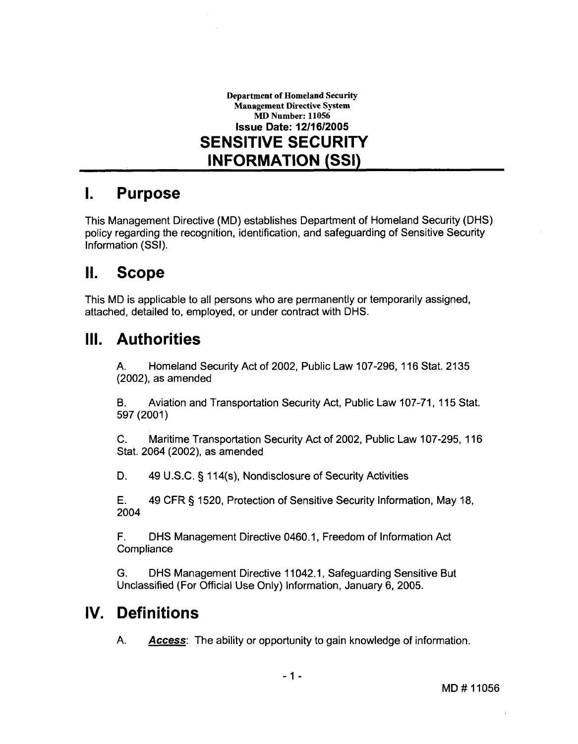

### **I. Purpose**

This Management Directive (MD) establishes Department of Homeland Security (DHS) policy regarding the recognition, identification, and safeguarding of Sensitive Security lnformation (SSI).

#### $\mathbf{II}$ . **Scope**

This MD is applicable to all persons who are permanently or temporarily assigned, attached, detailed to, employed, or under contract with DHS.

#### III. **Authorities**

A. Homeland Security Act of 2002, Public Law 107-296, 116 Stat. 2135 (2002), as amended

B. Aviation and Transportation Security Act, Public Law 107-71, 115 Stat. 597 (2001 )

C. Maritime Transportation Security Act of 2002, Public Law 107-295, 1 16 Stat. 2064 (2002), as amended

D. 49 U.S.C. § 114(s), Nondisclosure of Security Activities

E. 49 CFR § 1520, Protection of Sensitive Security Information, May 18, 2004

F. DHS Management Directive 0460.1, Freedom of lnformation Act **Compliance** 

G. DHS Management Directive 1 1042.1, Safeguarding Sensitive But Unclassified (For Official Use Only) Information, January 6, 2005.

# **IV. Definitions**

A. **Access:** The ability or opportunity to gain knowledge of information.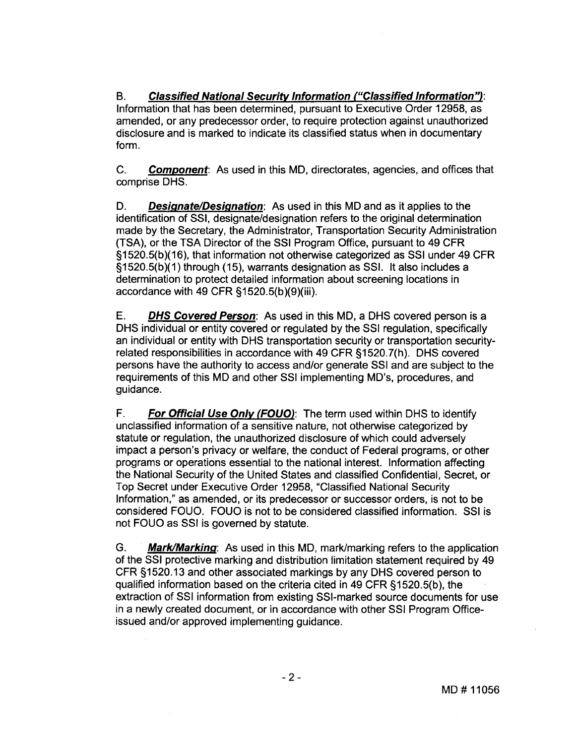B. **Classified National Security Information ("Classified Information"):** lnformation that has been determined, pursuant to Executive Order 12958, as amended, or any predecessor order, to require protection against unauthorized disclosure and is marked to indicate its classified status when in documentary form.

C. **Component:** As used in this MD, directorates, agencies, and offices that comprise DHS.

D. **Designate/Designation:** As used in this MD and as it applies to the identification of SSI, designate/designation refers to the original determination made by the Secretary, the Administrator, Transportation Security Administration (TSA), or the TSA Director of the SSI Program Office, pursuant to 49 CFR §I 520.5(b)(I 6), that information not otherwise categorized as SSI under 49 CFR §1520.5(b)(I) through (15), warrants designation as SSI. It also includes a determination to protect detailed information about screening locations in accordance with 49 CFR §1520.5(b)(9)(iii).

E. **DHS Covered Person:** As used in this MD, a DHS covered person is a DHS individual or entity covered or regulated by the SSI regulation, specifically an individual or entity with DHS transportation security or transportation securityrelated responsibilities in accordance with 49 CFR §1520.7(h). DHS covered persons have the authority to access andlor generate SSI and are subject to the requirements of this MD and other SSI implementing MD's, procedures, and guidance.

F. **For Official Use Only (FOUO):** The term used within DHS to identify unclassified information of a sensitive nature, not otherwise categorized by statute or regulation, the unauthorized disclosure of which could adversely impact a person's privacy or welfare, the conduct of Federal programs, or other programs or operations essential to the national interest. lnformation affecting the National Security of the United States and classified Confidential, Secret, or Top Secret under Executive Order 12958, "Classified National Security Information," as amended, or its predecessor or successor orders, is not to be considered FOUO. FOUO is not to be considered classified information. SSI is not FOUO as SSI is governed by statute.

**G. MarkIMarking:** As used in this MD, marklmarking refers to the application of the SSI protective marking and distribution limitation statement required by 49 CFR s1520.13 and other associated markings by any DHS covered person to qualified information based on the criteria cited in 49 CFR §1520.5(b), the extraction of SSI information from existing SSI-marked source documents for use in a newly created document, or in accordance with other SSI Program Officeissued and/or approved implementing guidance.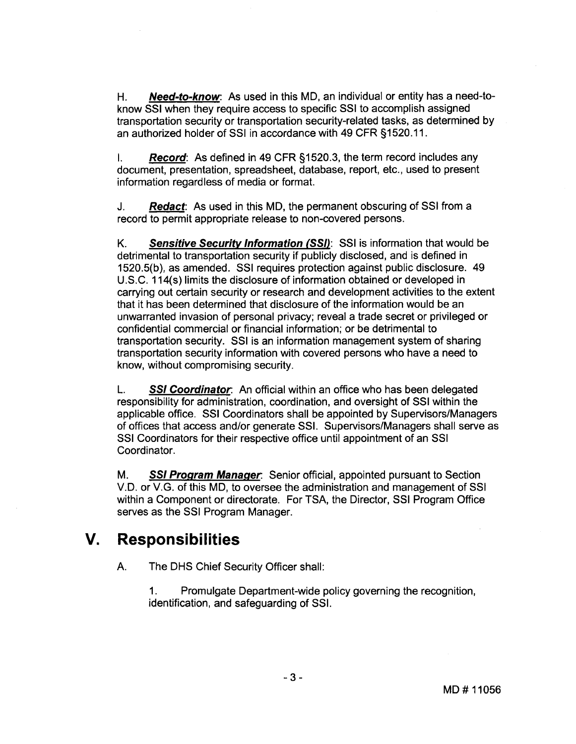H. **Need-to-know:** As used in this MD, an individual or entity has a need-toknow SSI when they require access to specific SSI to accomplish assigned transportation security or transportation security-related tasks, as determined by an authorized holder of SSI in accordance with 49 CFR §1520.11.

I. **Record:** As defined in 49 CFR 51520.3, the term record includes any document, presentation, spreadsheet, database, report, etc., used to present information regardless of media or format.

J. **Redact:** As used in this MD, the permanent obscuring of SSI from a record to permit appropriate release to non-covered persons.

K. **Sensitive Security Information (SSI):** SSI is information that would be detrimental to transportation security if publicly disclosed, and is defined in 1520.5(b), as amended. SSI requires protection against public disclosure. 49 U.S.C. 114(s) limits the disclosure of information obtained or developed in carrying out certain security or research and development activities to the extent that it has been determined that disclosure of the information would be an unwarranted invasion of personal privacy; reveal a trade secret or privileged or confidential commercial or financial information; or be detrimental to transportation security. SSI is an information management system of sharing transportation security information with covered persons who have a need to know, without compromising security.

L. **SSI Coordinator** An official within an office who has been delegated responsibility for administration, coordination, and oversight of SSI within the applicable office. SSI Coordinators shall be appointed by Supervisors/Managers of offices that access and/or generate SSI. Supervisors/Managers shall serve as SSI Coordinators for their respective office until appointment of an SSI Coordinator.

M. **SSI Program Manager** Senior official, appointed pursuant to Section V.D. or V.G. of this MD, to oversee the administration and management of SSI within a Component or directorate. For TSA, the Director, SSI Program Office serves as the SSI Program Manager.

## **V. Responsibilities**

A. The DHS Chief Security Officer shall:

1. Promulgate Department-wide policy governing the recognition, identification, and safeguarding of SSI.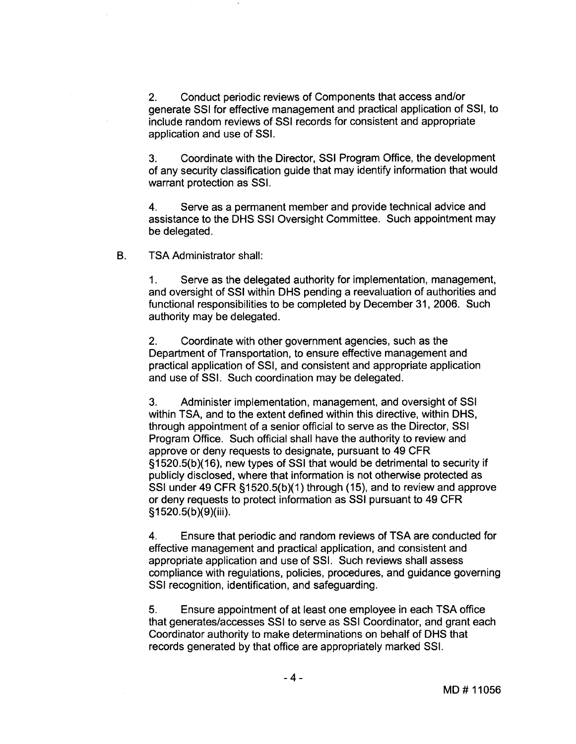**2.** Conduct periodic reviews of Components that access andlor generate SSI for effective management and practical application of SSI, to include random reviews of SSI records for consistent and appropriate application and use of SSI.

**3.** Coordinate with the Director, SSI Program Office, the development of any security classification guide that may identify information that would warrant protection as SSI.

4. Serve as a permanent member and provide technical advice and assistance to the DHS SSI Oversight Committee. Such appointment may be delegated.

B. TSA Administrator shall:

1. Serve as the delegated authority for implementation, management, and oversight of SSI within DHS pending a reevaluation of authorities and functional responsibilities to be completed by December 31, 2006. Such authority may be delegated.

2. Coordinate with other government agencies, such as the Department of Transportation, to ensure effective management and practical application of SSI, and consistent and appropriate application and use of SSI. Such coordination may be delegated.

**3.** Administer implementation, management, and oversight of SSI within TSA, and to the extent defined within this directive, within DHS, through appointment of a senior official to serve as the Director, SSI Program Office. Such official shall have the authority to review and approve or deny requests to designate, pursuant to 49 CFR §I 520.5(b)(16), new types of SSI that would be detrimental to security if publicly disclosed, where that information is not otherwise protected as SSI under 49 CFR §1520.5(b)(1) through (15), and to review and approve our direct 45 OFTX g (520.0(b)<sub>(</sub>1) allodget (16), and to fevicw and all<br>or deny requests to protect information as SSI pursuant to 49 CFR<br>§1520.5(b)(9)(iii).

**4.** Ensure that periodic and random reviews of TSA are conducted for effective management and practical application, and consistent and appropriate application and use of SSI. Such reviews shall assess compliance with regulations, policies, procedures, and guidance governing SSI recognition, identification, and safeguarding.

**5.** Ensure appointment of at least one employee in each TSA office that generateslaccesses SSI to serve as SSI Coordinator, and grant each Coordinator authority to make determinations on behalf of DHS that records generated by that office are appropriately marked SSI.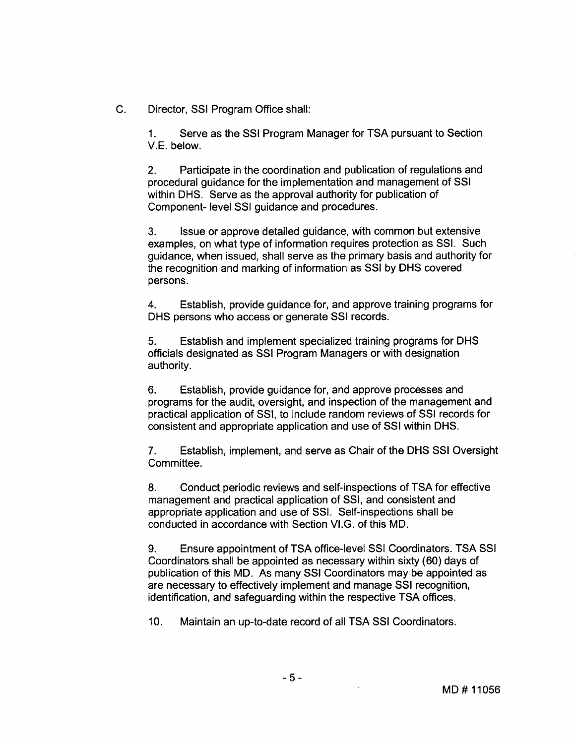C. Director, SSI Program Office shall:

1. Serve as the SSI Program Manager for TSA pursuant to Section V.E. below.

**2.** Participate in the coordination and publication of regulations and procedural guidance for the implementation and management of SSI within DHS. Serve as the approval authority for publication of Component- level SSI guidance and procedures.

**3.** Issue or approve detailed guidance, with common but extensive examples, on what type of information requires protection as SSI. Such guidance, when issued, shall serve as the primary basis and authority for the recognition and marking of information as SSI by DHS covered persons.

**4.** Establish, provide guidance for, and approve training programs for DHS persons who access or generate SSI records.

**5.** Establish and implement specialized training programs for DHS officials designated as SSI Program Managers or with designation authority.

6. Establish, provide guidance for, and approve processes and programs for the audit, oversight, and inspection of the management and practical application of SSI, to include random reviews of SSI records for consistent and appropriate application and use of SSI within DHS.

**7.** Establish, implement, and serve as Chair of the DHS SSI Oversight Committee.

**8.** Conduct periodic reviews and self-inspections of TSA for effective management and practical application of SSI, and consistent and appropriate application and use of SSI. Self-inspections shall be conducted in accordance with Section V1.G. of this MD.

**9.** Ensure appointment of TSA office-level SSI Coordinators. TSA SSI Coordinators shall be appointed as necessary within sixty (60) days of publication of this MD. As many SSI Coordinators may be appointed as are necessary to effectively implement and manage SSI recognition, identification, and safeguarding within the respective TSA offices.

 $\mathcal{L}^{\text{max}}$ 

10. Maintain an up-to-date record of all TSA SSI Coordinators.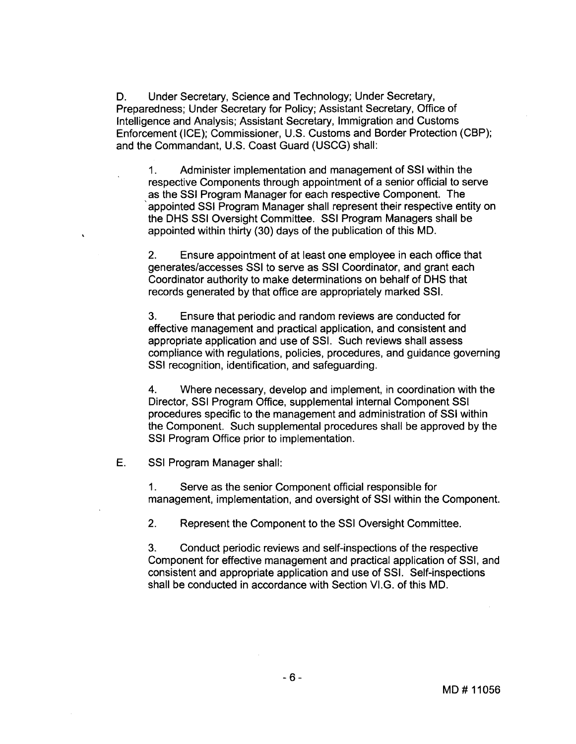D. Under Secretary, Science and Technology; Under Secretary, Preparedness; Under Secretary for Policy; Assistant Secretary, Office of Intelligence and Analysis; Assistant Secretary, Immigration and Customs Enforcement (ICE); Commissioner, U.S. Customs and Border Protection (CBP); and the Commandant, U.S. Coast Guard (USCG) shall:

1. Administer implementation and management of SSI within the respective Components through appointment of a senior official to serve as the SSI Program Manager for each respective Component. The 'appointed SSI Program Manager shall represent their respective entity on the DHS SSI Oversight Committee. SSI Program Managers shall be appointed within thirty (30) days of the publication of this MD.

**2.** Ensure appointment of at least one employee in each office that generates/accesses SSI to serve as SSI Coordinator, and grant each Coordinator authority to make determinations on behalf of DHS that records generated by that office are appropriately marked SSI.

**3.** Ensure that periodic and random reviews are conducted for effective management and practical application, and consistent and appropriate application and use of SSI. Such reviews shall assess compliance with regulations, policies, procedures, and guidance governing SSI recognition, identification, and safeguarding.

**4.** Where necessary, develop and implement, in coordination with the Director, SSI Program Office, supplemental internal Component SSI procedures specific to the management and administration of SSI within the Component. Such supplemental procedures shall be approved by the SSI Program Office prior to implementation.

E. SSI Program Manager shall:

1. Serve as the senior Component official responsible for management, implementation, and oversight of SSI within the Component.

**2.** Represent the Component to the SSI Oversight Committee.

**3.** Conduct periodic reviews and self-inspections of the respective Component for effective management and practical application of SSI, and consistent and appropriate application and use of SSI. Self-inspections shall be conducted in accordance with Section V1.G. of this MD.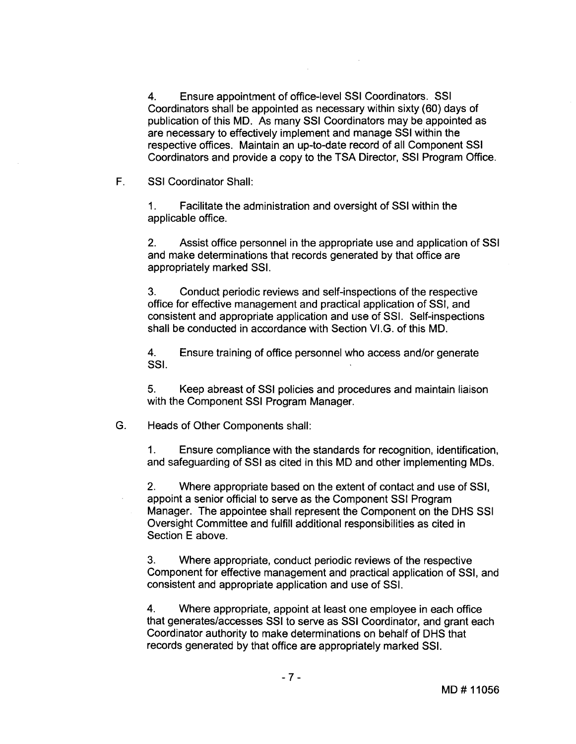**4.** Ensure appointment of office-level SSI Coordinators. SSI Coordinators shall be appointed as necessary within sixty (60) days of publication of this MD. As many SSI Coordinators may be appointed as are necessary to effectively implement and manage SSI within the respective offices. Maintain an up-to-date record of all Component SSI Coordinators and provide a copy to the TSA Director, SSI Program Office.

F. SSI Coordinator Shall:

1. Facilitate the administration and oversight of SSI within the applicable office.

**2.** Assist office personnel in the appropriate use and application of SSI and make determinations that records generated by that office are appropriately marked SSI.

**3.** Conduct periodic reviews and self-inspections of the respective office for effective management and practical application of SSI, and consistent and appropriate application and use of SSI. Self-inspections shall be conducted in accordance with Section V1.G. of this MD.

**4.** Ensure training of office personnel who access andlor generate SSI.

**5.** Keep abreast of SSI policies and procedures and maintain liaison with the Component SSI Program Manager.

G. Heads of Other Components shall:

1. Ensure compliance with the standards for recognition, identification, and safeguarding of SSI as cited in this MD and other implementing MDs.

**2.** Where appropriate based on the extent of contact and use of SSI, appoint a senior official to serve as the Component SSI Program Manager. The appointee shall represent the Component on the DHS SSI Oversight Committee and fulfill additional responsibilities as cited in Section E above.

**3.** Where appropriate, conduct periodic reviews of the respective Component for effective management and practical application of SSI, and consistent and appropriate application and use of SSI.

**4.** Where appropriate, appoint at least one employee in each office that generates/accesses SSI to serve as SSI Coordinator, and grant each Coordinator authority to make determinations on behalf of DHS that records generated by that office are appropriately marked SSI.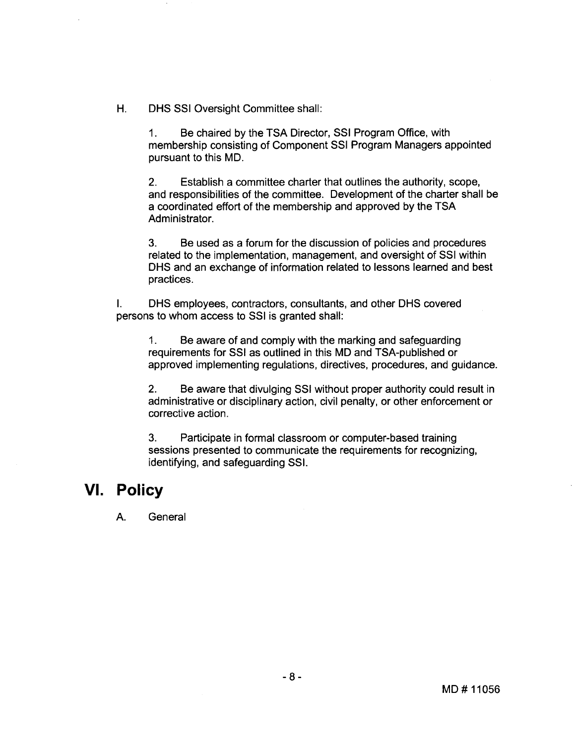H. DHS SSI Oversight Committee shall:

1. Be chaired by the TSA Director, SSI Program Office, with membership consisting of Component SSI Program Managers appointed pursuant to this MD.

**2.** Establish a committee charter that outlines the authority, scope, and responsibilities of the committee. Development of the charter shall be a coordinated effort of the membership and approved by the TSA Administrator.

**3.** Be used as a forum for the discussion of policies and procedures related to the implementation, management, and oversight of SSI within DHS and an exchange of information related to lessons learned and best practices.

I. DHS employees, contractors, consultants, and other DHS covered persons to whom access to SSI is granted shall:

1. Be aware of and comply with the marking and safeguarding requirements for SSI as outlined in this MD and TSA-published or approved implementing regulations, directives, procedures, and guidance.

**2.** Be aware that divulging SSI without proper authority could result in administrative or disciplinary action, civil penalty, or other enforcement or corrective action.

**3.** Participate in formal classroom or computer-based training sessions presented to communicate the requirements for recognizing, identifying, and safeguarding SSI.

### **VI. Policy**

A. General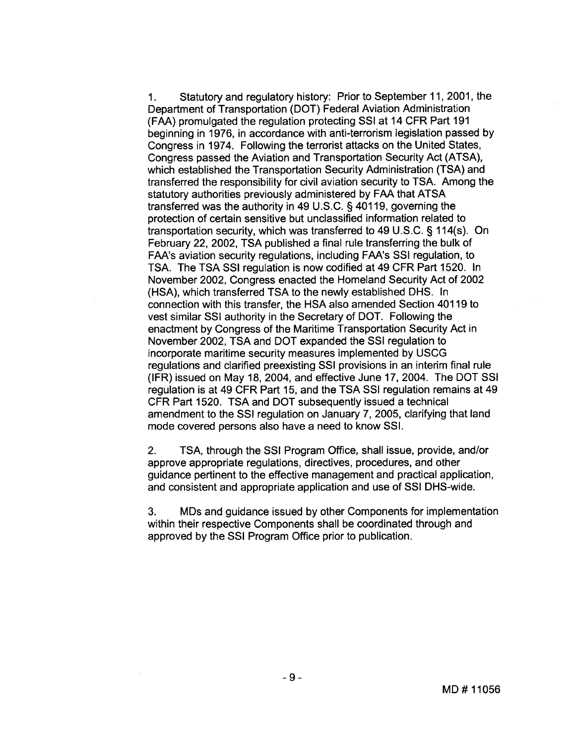1. Statutory and regulatory history: Prior to September 11, 2001, the Department of Transportation (DOT) Federal Aviation Administration (FAA) promulgated the regulation protecting SSI at 14 CFR Part 191 beginning in 1976, in accordance with anti-terrorism legislation passed by Congress in 1974. Following the terrorist attacks on the United States, Congress passed the Aviation and Transportation Security Act (ATSA), which established the Transportation Security Administration (TSA) and transferred the responsibility for civil aviation security to TSA. Among the statutory authorities previously administered by FAA that ATSA transferred was the authority in 49 U.S.C. § 401 19, governing the protection of certain sensitive but unclassified information related to transportation security, which was transferred to 49 U.S.C. § 114(s). On February 22, 2002, TSA published a final rule transferring the bulk of FAA's aviation security regulations, including FAA's SSI regulation, to TSA. The TSA SSI regulation is now codified at 49 CFR Part 1520. In November 2002, Congress enacted the Homeland Security Act of 2002 (HSA), which transferred TSA to the newly established DHS. In connection with this transfer, the HSA also amended Section 40119 to vest similar SSI authority in the Secretary of DOT. Following the enactment by Congress of the Maritime Transportation Security Act in November 2002, TSA and DOT expanded the SSI regulation to incorporate maritime security measures implemented by USCG regulations and clarified preexisting SSI provisions in an interim final rule (IFR) issued on May 18,2004, and effective June 17,2004. The DOT SSI regulation is at 49 CFR Part 15, and the TSA SSI regulation remains at 49 CFR Part 1520. TSA and DOT subsequently issued a technical amendment to the SSI regulation on January 7, 2005, clarifying that land mode covered persons also have a need to know SSI.

2. TSA, through the SSI Program Office, shall issue, provide, and/or approve appropriate regulations, directives, procedures, and other guidance pertinent to the effective management and practical application, and consistent and appropriate application and use of SSI DHS-wide.

**3.** MDs and guidance issued by other Components for implementation within their respective Components shall be coordinated through and approved by the SSI Program Office prior to publication.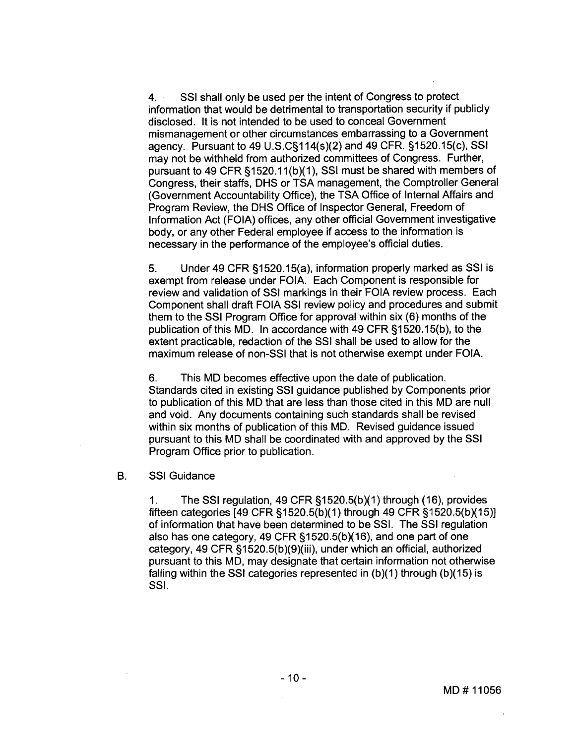4. SSI shall only be used per the intent of Congress to protect information that would be detrimental to transportation security if publicly disclosed. It is not intended to be used to conceal Government mismanagement or other circumstances embarrassing to a Government agency. Pursuant to 49 U.S.C§114(s)(2) and 49 CFR. §1520.15(c), SSI may not be withheld from authorized committees of Congress. Further, pursuant to 49 CFR §1520.11(b)(1), SSI must be shared with members of Congress, their staffs, DHS or TSA management, the Comptroller General (Government Accountability Office), the TSA Office of Internal Affairs and Program Review, the DHS Office of Inspector General, Freedom of Information Act (FOIA) offices, any other official Government investigative body, or any other Federal employee if access to the information is necessary in the performance of the employee's official duties.

5. Under 49 CFR §1520.15(a), information properly marked as SSI is exempt from release under FOIA. Each Component is responsible for review and validation of SSI markings in their FOIA review process. Each Component shall draft FOIA SSI review policy and procedures and submit them to the SSI Program Office for approval within six (6) months of the publication of this MD. In accordance with 49 CFR §1520.15(b), to the extent practicable, redaction of the SSI shall be used to allow for the maximum release of non-SSI that is not otherwise exempt under FOIA.

6. This MD becomes effective upon the date of publication. Standards cited in existing SSI guidance published by Components prior to publication of this MD that are less than those cited in this MD are null and void. Any documents containing such standards shall be revised within six months of publication of this MD. Revised guidance issued pursuant to this MD shall be coordinated with and approved by the SSI Program Office prior to publication.

### B. SSI Guidance

1. The SSI regulation, 49 CFR §1520.5(b)(I) through (16), provides fifteen categories  $[49 \text{ CFR } \S 1520.5(b)(1)$  through  $49 \text{ CFR } \S 1520.5(b)(15)]$ of information that have been determined to be SSI. The SSI regulation also has one category, 49 CFR §I 520.5(b)(16), and one part of one category, 49 CFR §1520.5(b)(9)(iii), under which an official, authorized pursuant to this MD, may designate that certain information not otherwise falling within the SSI categories represented in  $(b)(1)$  through  $(b)(15)$  is SSI.

MD#11056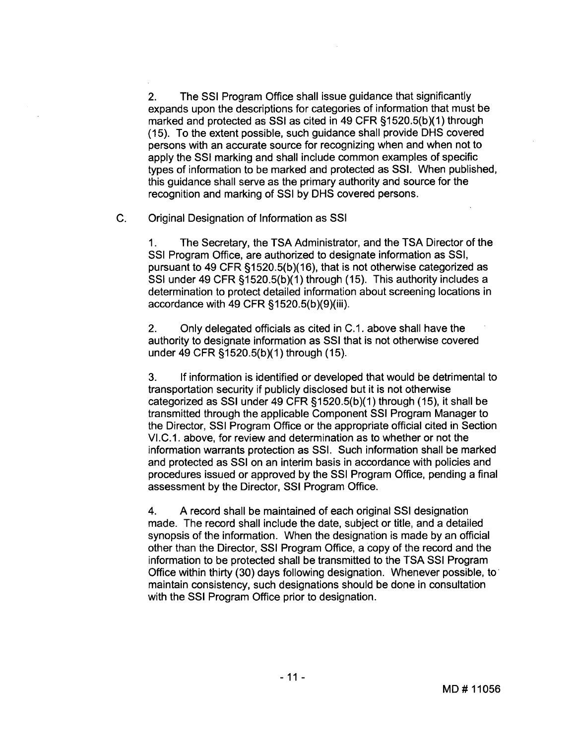2. The SSI Program Office shall issue guidance that significantly expands upon the descriptions for categories of information that must be marked and protected as SSI as cited in 49 CFR §1520.5(b)(1) through (15). To the extent possible, such guidance shall provide DHS covered persons with an accurate source for recognizing when and when not to apply the SSI marking and shall include common examples of specific types of information to be marked and protected as SSI. When published, this guidance shall serve as the primary authority and source for the recognition and marking of SSI by DHS covered persons.

C. Original Designation of Information as SSI

1. The Secretary, the TSA Administrator, and the TSA Director of the SSI Program Office, are authorized to designate information as SSI, pursuant to 49 CFR  $$1520.5(b)(16)$ , that is not otherwise categorized as SSI under 49 CFR  $$1520.5(b)(1)$  through (15). This authority includes a determination to protect detailed information about screening locations in accordance with 49 CFR §I 520.5(b)(g)(iii).

**2.** Only delegated officials as cited in C.1. above shall have the authority to designate information as SSI that is not otherwise covered under 49 CFR §1520.5(b)(1) through (15).

3. If information is identified or developed that would be detrimental to transportation security if publicly disclosed but it is not otherwise categorized as SSI under 49 CFR §1520.5(b)(1) through (15), it shall be transmitted through the applicable Component SSI Program Manager to the Director, SSI Program Office or the appropriate official cited in Section VI.C.1. above, for review and determination as to whether or not the information warrants protection as SSI. Such information shall be marked and protected as SSI on an interim basis in accordance with policies and procedures issued or approved by the SSI Program Office, pending a final assessment by the Director, SSI Program Office.

4. A record shall be maintained of each original SSI designation made. The record shall include the date, subject or title, and a detailed synopsis of the information. When the designation is made by an official other than the Director, SSI Program Office, a copy of the record and the information to be protected shall be transmitted to the TSA SSI Program Office within thirty (30) days following designation. Whenever possible, to maintain consistency, such designations should be done in consultation with the SSI Program Office prior to designation.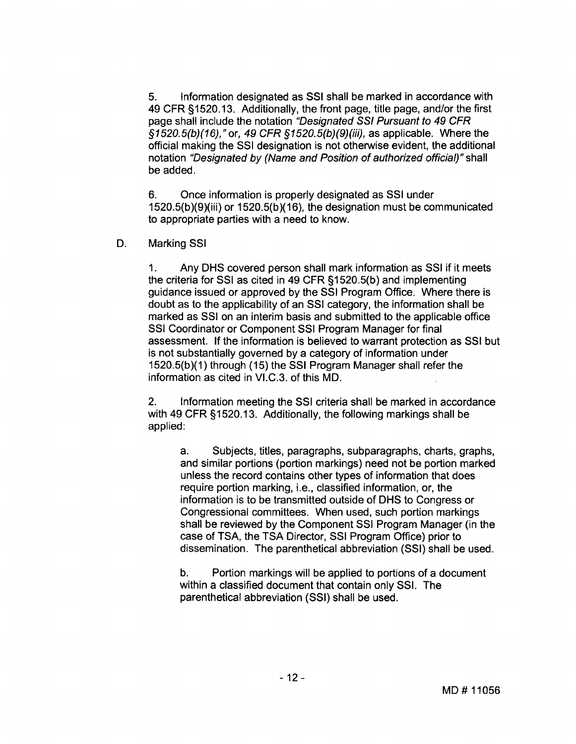5. lnformation designated as SSI shall be marked in accordance with 49 CFR §1520.13. Additionally, the front page, title page, and/or the first page shall include the notation "Designated SSI Pursuant to 49 CFR  $$1520.5(b)(16)$ , " or, 49 CFR  $$1520.5(b)(9)(iii)$ , as applicable. Where the official making the SSI designation is not otherwise evident, the additional notation "Designated by (Name and Position of authorized official)" shall be added.

6. Once information is properly designated as SSI under 1520.5(b)(g)(iii) or 1520.5(b)(I 6), the designation must be communicated to appropriate parties with a need to know.

### D. Marking SSI

1. Any DHS covered person shall mark information as SSI if it meets the criteria for SSI as cited in 49 CFR §1520.5(b) and implementing guidance issued or approved by the SSI Program Office. Where there is doubt as to the applicability of an SSI category, the information shall be marked as SSI on an interim basis and submitted to the applicable office SSI Coordinator or Component SSI Program Manager for final assessment. If the information is believed to warrant protection as SSI but is not substantially governed by a category of information under 1520.5(b)(1) through (15) the SSI Program Manager shall refer the information as cited in VI.C.3. of this MD.

2. lnformation meeting the SSI criteria shall be marked in accordance with 49 CFR §1520.13. Additionally, the following markings shall be applied:

a. Subjects, titles, paragraphs, subparagraphs, charts, graphs, and similar portions (portion markings) need not be portion marked unless the record contains other types of information that does require portion marking, i.e., classified information, or, the information is to be transmitted outside of DHS to Congress or Congressional committees. When used, such portion markings shall be reviewed by the Component SSI Program Manager (in the case of TSA, the TSA Director, SSI Program Office) prior to dissemination. The parenthetical abbreviation (SSI) shall be used.

b. Portion markings will be applied to portions of a document within a classified document that contain only SSI. The parenthetical abbreviation (SSI) shall be used.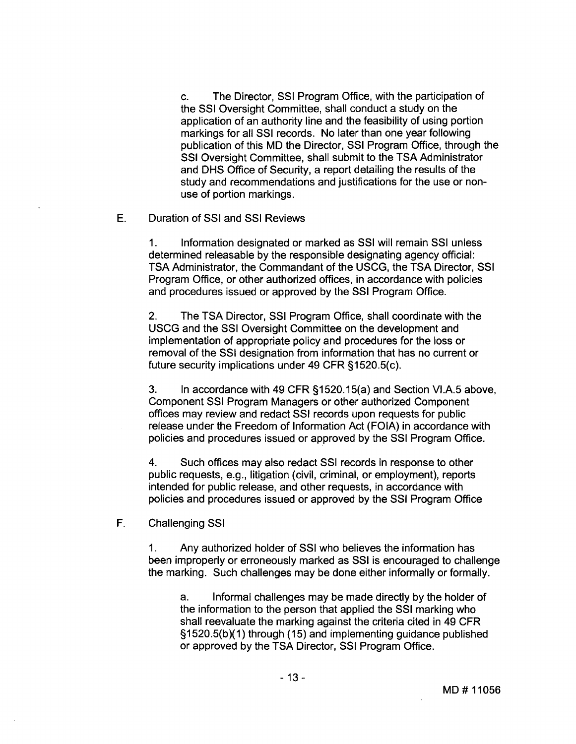c. The Director, SSI Program Office, with the participation of the SSI Oversight Committee, shall conduct a study on the application of an authority line and the feasibility of using portion markings for all SSI records. No later than one year following publication of this MD the Director, SSI Program Office, through the SSI Oversight Committee, shall submit to the TSA Administrator and DHS Office of Security, a report detailing the results of the study and recommendations and justifications for the use or nonuse of portion markings.

### E. Duration of SSI and SSI Reviews

1. lnformation designated or marked as SSI will remain SSI unless determined releasable by the responsible designating agency official: TSA Administrator, the Commandant of the USCG, the TSA Director, SSI Program Office, or other authorized offices, in accordance with policies and procedures issued or approved by the SSI Program Office.

2. The TSA Director, SSI Program Office, shall coordinate with the USCG and the SSI Oversight Committee on the development and implementation of appropriate policy and procedures for the loss or removal of the SSI designation from information that has no current or future security implications under **49** CFR §1520.5(c).

**3.** In accordance with **49** CFR §1520.15(a) and Section VI.A.5 above, Component SSI Program Managers or other authorized Component offices may review and redact SSI records upon requests for public release under the Freedom of lnformation Act (FOIA) in accordance with policies and procedures issued or approved by the SSI Program Office.

**4.** Such offices may also redact SSI records in response to other public requests, e.g., litigation (civil, criminal, or employment), reports intended for public release, and other requests, in accordance with policies and procedures issued or approved by the SSI Program Office

F. Challenging SSI

1. Any authorized holder of SSI who believes the information has been improperly or erroneously marked as SSI is encouraged to challenge the marking. Such challenges may be done either informally or formally.

a. Informal challenges may be made directly by the holder of the information to the person that applied the SSI marking who shall reevaluate the marking against the criteria cited in **49** CFR  $§1520.5(b)(1)$  through (15) and implementing guidance published or approved by the TSA Director, SSI Program Office.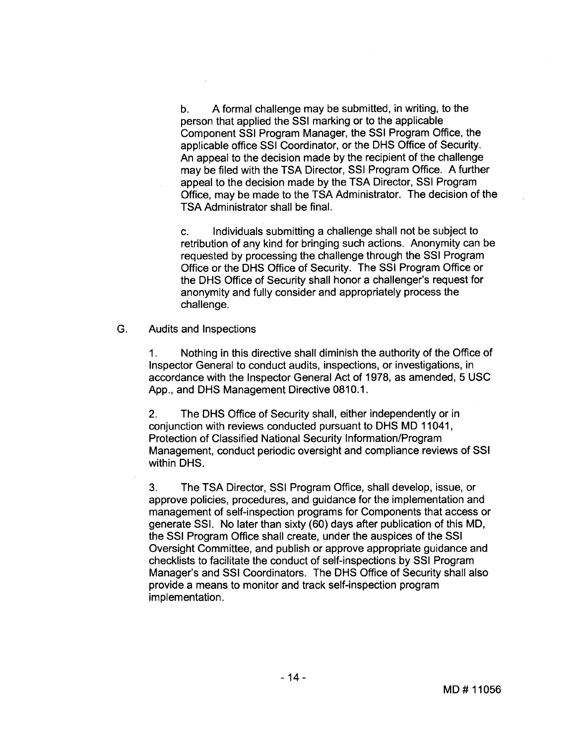b. A formal challenge may be submitted, in writing, to the person that applied the SSI marking or to the applicable Component SSI Program Manager, the SSI Program Office, the applicable office SSI Coordinator, or the DHS Office of Security. An appeal to the decision made by the recipient of the challenge may be filed with the TSA Director, SSI Program Office. A further appeal to the decision made by the TSA Director, SSI Program Office, may be made to the TSA Administrator. The decision of the TSA Administrator shall be final.

c. Individuals submitting a challenge shall not be subject to retribution of any kind for bringing such actions. Anonymity can be requested by processing the challenge through the SSI Program Office or the DHS Office of Security. The SSI Program Office or the DHS Office of Security shall honor a challenger's request for anonymity and fully consider and appropriately process the challenge.

G. Audits and Inspections

> 1. Nothing in this directive shall diminish the authority of the Office of lnspector General to conduct audits, inspections, or investigations, in accordance with the Inspector General Act of 1978, as amended, 5 USC App., and DHS Management Directive 0810.1.

> **2.** The DHS Ofice of Security shall, either independently or in conjunction with reviews conducted pursuant to DHS MD 11041, Protection of Classified National Security Information/Program Management, conduct periodic oversight and compliance reviews of SSI within DHS.

> **3.** The TSA Director, SSI Program Office, shall develop, issue, or approve policies, procedures, and guidance for the implementation and management of self-inspection programs for Components that access or generate SSI. No later than sixty (60) days after publication of this MD, the SSI Program Office shall create, under the auspices of the SSI Oversight Committee, and publish or approve appropriate guidance and checklists to facilitate the conduct of self-inspections by SSI Program Manager's and SSI Coordinators. The DHS Office of Security shall also provide a means to monitor and track self-inspection program implementation.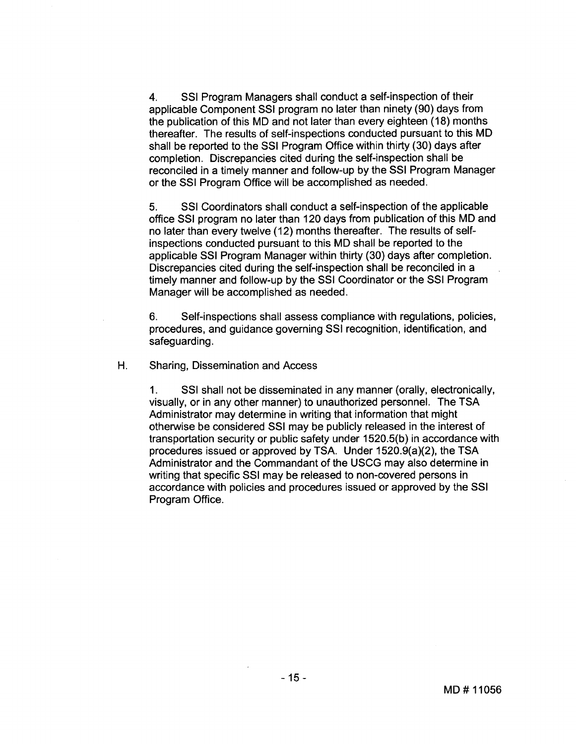**4.** SSI Program Managers shall conduct a self-inspection of their applicable Component SSI program no later than ninety (90) days from the publication of this MD and not later than every eighteen (18) months thereafter. The results of self-inspections conducted pursuant to this MD shall be reported to the SSI Program Office within thirty (30) days after completion. Discrepancies cited during the self-inspection shall be reconciled in a timely manner and follow-up by the SSI Program Manager or the SSI Program Office will be accomplished as needed.

5. SSI Coordinators shall conduct a self-inspection of the applicable office SSI program no later than 120 days from publication of this MD and no later than every twelve (12) months thereafter. The results of selfinspections conducted pursuant to this MD shall be reported to the applicable SSI Program Manager within thirty (30) days after completion. Discrepancies cited during the self-inspection shall be reconciled in a timely manner and follow-up by the SSI Coordinator or the SSI Program Manager will be accomplished as needed.

6. Self-inspections shall assess compliance with regulations, policies, procedures, and guidance governing SSI recognition, identification, and safeguarding.

H. Sharing, Dissemination and Access

1. SSI shall not be disseminated in any manner (orally, electronically, visually, or in any other manner) to unauthorized personnel. The TSA Administrator may determine in writing that information that might otherwise be considered SSI may be publicly released in the interest of transportation security or public safety under 1520.5(b) in accordance with procedures issued or approved by TSA. Under 1520.9(a)(2), the TSA Administrator and the Commandant of the USCG may also determine in writing that specific SSI may be released to non-covered persons in accordance with policies and procedures issued or approved by the SSI Program Office.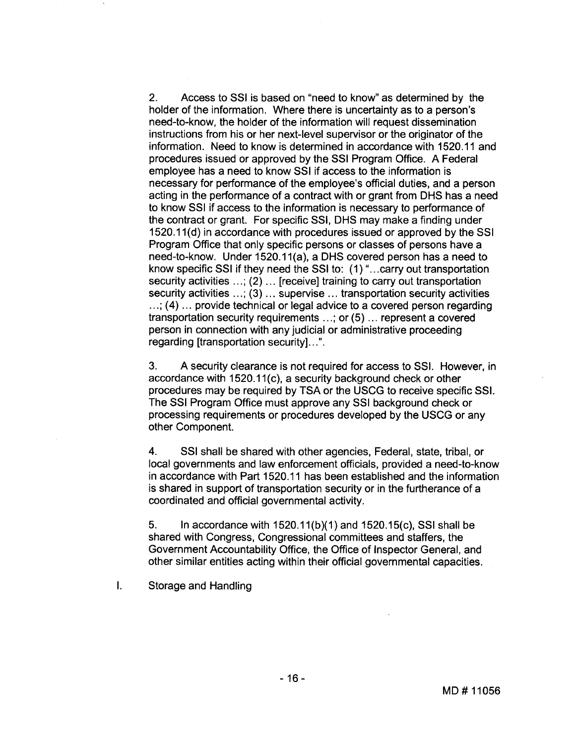2. Access to SSI is based on "need to know" as determined by the holder of the information. Where there is uncertainty as to a person's need-to-know, the holder of the information will request dissemination instructions from his or her next-level supervisor or the originator of the information. Need to know is determined in accordance with 1520.11 and procedures issued or approved by the SSI Program Office. A Federal employee has a need to know SSI if access to the information is necessary for performance of the employee's official duties, and a person acting in the performance of a contract with or grant from DHS has a need to know SSI if access to the information is necessary to performance of the contract or grant. For specific SSI, DHS may make a finding under 1520.1 1(d) in accordance with procedures issued or approved by the SSI Program Office that only specific persons or classes of persons have a need-to-know. Under 1520.11(a), a DHS covered person has a need to know specific SSI if they need the SSI to: (1) ". . .carry out transportation security activities  $\ldots$ ; (2)  $\ldots$  [receive] training to carry out transportation security activities ...; (3) ... supervise ... transportation security activities  $\ldots$ ; (4)  $\ldots$  provide technical or legal advice to a covered person regarding transportation security requirements . . .; or (5) . . . represent a covered person in connection with any judicial or administrative proceeding regarding [transportation security]. . .".

3. A security clearance is not required for access to SSI. However, in accordance with 1520.11(c), a security background check or other procedures may be required by TSA or the USCG to receive specific SSI. The SSI Program Office must approve any SSI background check or processing requirements or procedures developed by the USCG or any other Component.

4. SSI shall be shared with other agencies, Federal, state, tribal, or local governments and law enforcement officials, provided a need-to-know in accordance with Part 1520.1 1 has been established and the information is shared in support of transportation security or in the furtherance of a coordinated and official governmental activity.

5. In accordance with  $1520.11(b)(1)$  and  $1520.15(c)$ , SSI shall be shared with Congress, Congressional committees and staffers, the Government Accountability Office, the Office of Inspector General, and other similar entities acting within their official governmental capacities.

I. Storage and Handling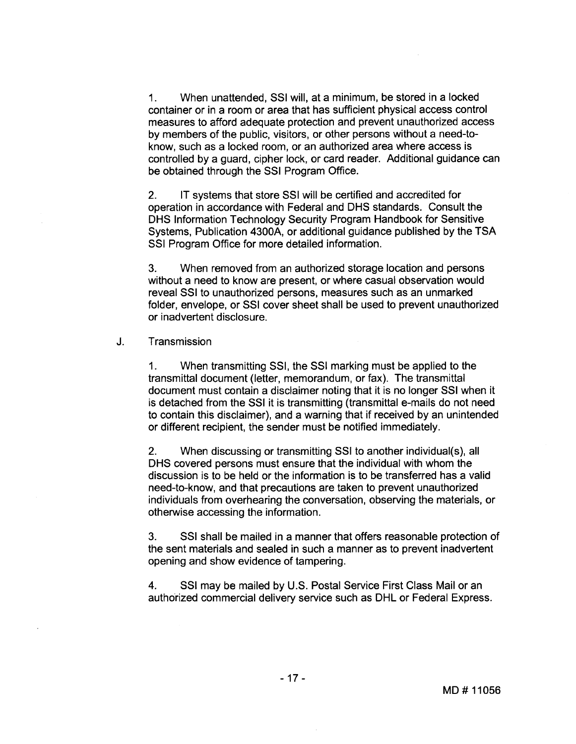1. When unattended, SSI will, at a minimum, be stored in a locked container or in a room or area that has sufficient physical access control measures to afford adequate protection and prevent unauthorized access by members of the public, visitors, or other persons without a need-toknow, such as a locked room, or an authorized area where access is controlled by a guard, cipher lock, or card reader. Additional guidance can be obtained through the SSI Program Office.

2. IT systems that store SSI will be certified and accredited for operation in accordance with Federal and DHS standards. Consult the DHS Information Technology Security Program Handbook for Sensitive Systems, Publication 4300A, or additional guidance published by the TSA SSI Program Office for more detailed information.

**3.** When removed from an authorized storage location and persons without a need to know are present, or where casual observation would reveal SSI to unauthorized persons, measures such as an unmarked folder, envelope, or SSI cover sheet shall be used to prevent unauthorized or inadvertent disclosure.

### J. Transmission

1. When transmitting SSI, the SSI marking must be applied to the transmittal document (letter, memorandum, or fax). The transmittal document must contain a disclaimer noting that it is no longer SSI when it is detached from the SSI it is transmitting (transmittal e-mails do not need to contain this disclaimer), and a warning that if received by an unintended or different recipient, the sender must be notified immediately.

2. When discussing or transmitting SSI to another individual(s), all DHS covered persons must ensure that the individual with whom the discussion is to be held or the information is to be transferred has a valid need-to-know, and that precautions are taken to prevent unauthorized individuals from overhearing the conversation, observing the materials, or otherwise accessing the information.

**3.** SSI shall be mailed in a manner that offers reasonable protection of the sent materials and sealed in such a manner as to prevent inadvertent opening and show evidence of tampering.

4. SSI may be mailed by U.S. Postal Service First Class Mail or an authorized commercial delivery service such as DHL or Federal Express.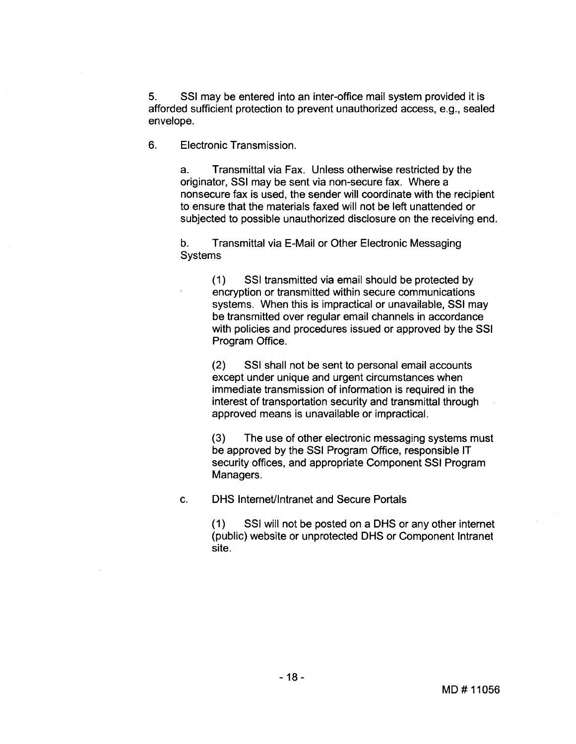**5.** SSI may be entered into an inter-office mail system provided it is afforded sufficient protection to prevent unauthorized access, e.g., sealed envelope.

6. Electronic Transmission.

a. Transmittal via Fax. Unless otherwise restricted by the originator, SSI may be sent via non-secure fax. Where a nonsecure fax is used, the sender will coordinate with the recipient to ensure that the materials faxed will not be left unattended or subjected to possible unauthorized disclosure on the receiving end.

b. Transmittal via E-Mail or Other Electronic Messaging **Systems** 

> (1) SSI transmitted via email should be protected by encryption or transmitted within secure communications systems. When this is impractical or unavailable, SSI may be transmitted over regular email channels in accordance with policies and procedures issued or approved by the SSI Program Office.

**(2)** SSI shall not be sent to personal email accounts except under unique and urgent circumstances when immediate transmission of information is required in the interest of transportation security and transmittal through approved means is unavailable or impractical.

**(3)** The use of other electronic messaging systems must be approved by the SSI Program Office, responsible IT security offices, and appropriate Component SSI Program Managers.

c. DHS Internetllntranet and Secure Portals

(1) SSI will not be posted on a DHS or any other internet (public) website or unprotected DHS or Component lntranet site.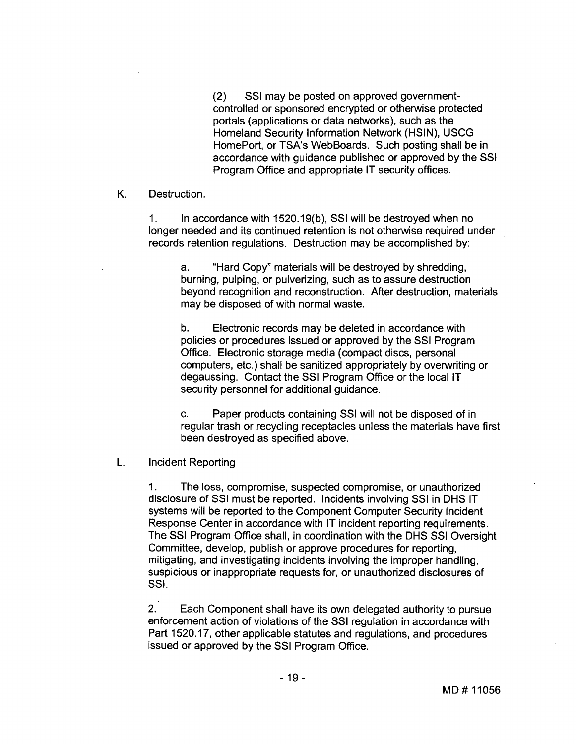(2) SSI may be posted on approved governmentcontrolled or sponsored encrypted or otherwise protected portals (applications or data networks), such as the Homeland Security Information Network (HSIN), USCG HomePort, or TSA's WebBoards. Such posting shall be in accordance with guidance published or approved by the SSI Program Office and appropriate IT security offices.

K. Destruction.

1. In accordance with 1520.1 9(b), SSI will be destroyed when no longer needed and its continued retention is not otherwise required under records retention regulations. Destruction may be accomplished by:

a. "Hard Copy" materials will be destroyed by shredding, burning, pulping, or pulverizing, such as to assure destruction beyond recognition and reconstruction. After destruction, materials may be disposed of with normal waste.

b. Electronic records may be deleted in accordance with policies or procedures issued or approved by the SSI Program Office. Electronic storage media (compact discs, personal computers, etc.) shall be sanitized appropriately by overwriting or degaussing. Contact the SSI Program Office or the local IT security personnel for additional guidance.

c. Paper products containing SSI will not be disposed of in regular trash or recycling receptacles unless the materials have first been destroyed as specified above.

L. lncident Reporting

1. The loss, compromise, suspected compromise, or unauthorized disclosure of SSI must be reported. Incidents involving SSI in DHS IT systems will be reported to the Component Computer Security lncident Response Center in accordance with IT incident reporting requirements. The SSI Program Ofice shall, in coordination with the DHS SSI Oversight Committee, develop, publish or approve procedures for reporting, mitigating, and investigating incidents involving the improper handling, suspicious or inappropriate requests for, or unauthorized disclosures of SSI.

2. Each Component shall have its own delegated authority to pursue enforcement action of violations of the SSI regulation in accordance with Part 1520.17, other applicable statutes and regulations, and procedures issued or approved by the SSI Program Office.